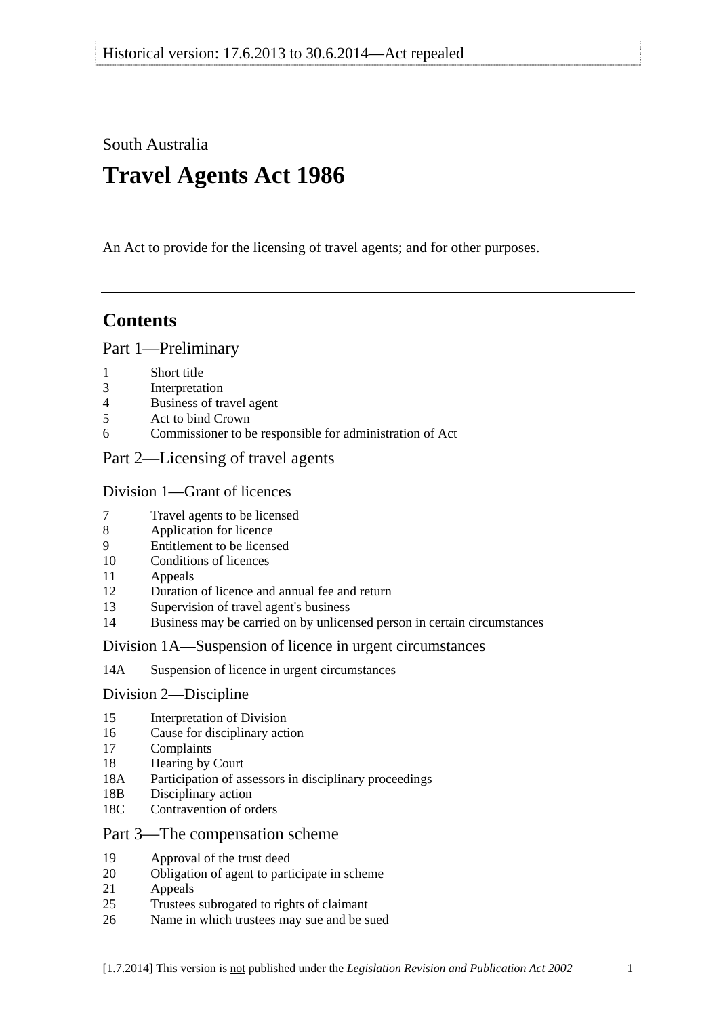<span id="page-0-0"></span>South Australia

# **Travel Agents Act 1986**

An Act to provide for the licensing of travel agents; and for other purposes.

# **Contents**

# [Part 1—Preliminary](#page-1-0)

- [1 Short title](#page-1-0)
- [3 Interpretation](#page-1-0)
- [4 Business of travel agent](#page-2-0)
- [5 Act to bind Crown](#page-2-0)
- [6 Commissioner to be responsible for administration of Act](#page-3-0)

# [Part 2—Licensing of travel agents](#page-3-0)

# [Division 1—Grant of licences](#page-3-0)

- [7 Travel agents to be licensed](#page-3-0)
- [8 Application for licence](#page-3-0)
- [9 Entitlement to be licensed](#page-4-0)
- [10 Conditions of licences](#page-5-0)
- [11 Appeals](#page-5-0)
- [12 Duration of licence and annual fee and return](#page-5-0)
- [13 Supervision of travel agent's business](#page-6-0)
- [14 Business may be carried on by unlicensed person in certain circumstances](#page-6-0)

# [Division 1A—Suspension of licence in urgent circumstances](#page-6-0)

[14A Suspension of licence in urgent circumstances](#page-6-0) 

# [Division 2—Discipline](#page-7-0)

- [15 Interpretation of Division](#page-7-0)
- [16 Cause for disciplinary action](#page-7-0)
- [17 Complaints](#page-8-0)
- [18 Hearing by Court](#page-8-0)
- [18A Participation of assessors in disciplinary proceedings](#page-8-0)
- [18B Disciplinary action](#page-8-0)
- [18C Contravention of orders](#page-9-0)

# [Part 3—The compensation scheme](#page-9-0)

- [19 Approval of the trust deed](#page-9-0)
- [20 Obligation of agent to participate in scheme](#page-10-0)
- [21 Appeals](#page-10-0)
- [25 Trustees subrogated to rights of claimant](#page-10-0)
- [26 Name in which trustees may sue and be sued](#page-10-0)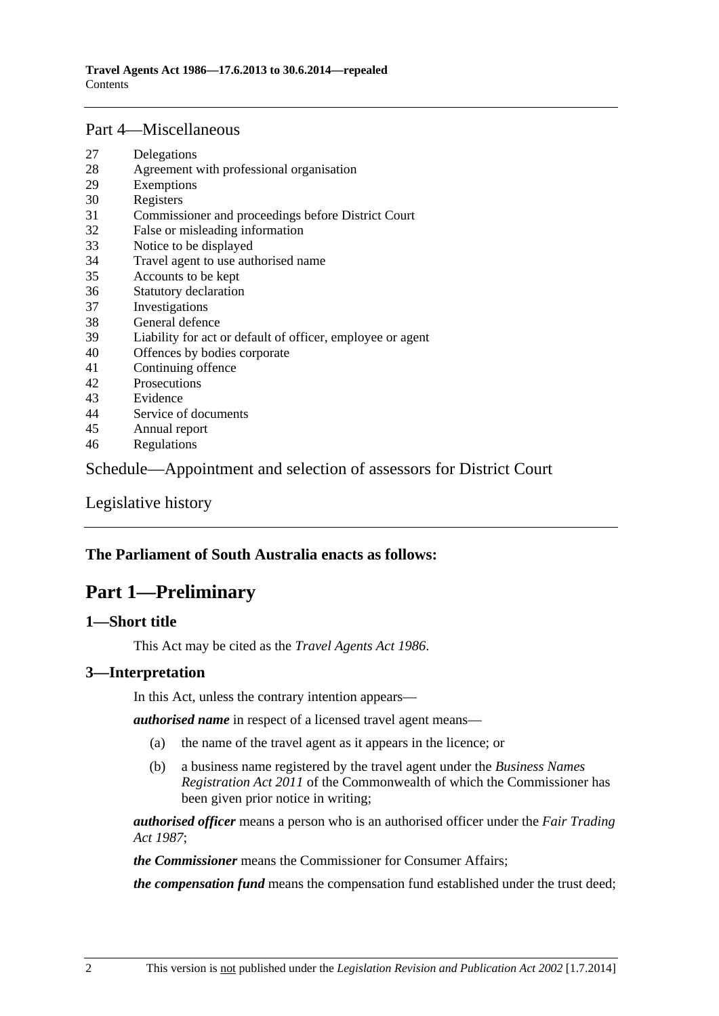### <span id="page-1-0"></span>[Part 4—Miscellaneous](#page-10-0)

- [27 Delegations](#page-10-0)
- [28 Agreement with professional organisation](#page-11-0)
- [29 Exemptions](#page-12-0)
- [30 Registers](#page-12-0)
- [31 Commissioner and proceedings before District Court](#page-12-0)
- [32 False or misleading information](#page-12-0)
- [33 Notice to be displayed](#page-13-0)
- [34 Travel agent to use authorised name](#page-13-0)
- [35 Accounts to be kept](#page-13-0)
- [36 Statutory declaration](#page-13-0)
- [37 Investigations](#page-13-0)
- [38 General defence](#page-14-0)
- [39 Liability for act or default of officer, employee or agent](#page-14-0)
- [40 Offences by bodies corporate](#page-14-0)
- [41 Continuing offence](#page-14-0)
- [42 Prosecutions](#page-15-0)
- [43 Evidence](#page-15-0)
- [44 Service of documents](#page-15-0)
- [45 Annual report](#page-16-0)
- [46 Regulations](#page-16-0)

[Schedule—Appointment and selection of assessors for District Court](#page-17-0) 

[Legislative history](#page-18-0) 

# **The Parliament of South Australia enacts as follows:**

# **Part 1—Preliminary**

# **1—Short title**

This Act may be cited as the *Travel Agents Act 1986*.

# **3—Interpretation**

In this Act, unless the contrary intention appears—

*authorised name* in respect of a licensed travel agent means—

- (a) the name of the travel agent as it appears in the licence; or
- (b) a business name registered by the travel agent under the *Business Names Registration Act 2011* of the Commonwealth of which the Commissioner has been given prior notice in writing;

*authorised officer* means a person who is an authorised officer under the *[Fair Trading](http://www.legislation.sa.gov.au/index.aspx?action=legref&type=act&legtitle=Fair%20Trading%20Act%201987)  [Act 1987](http://www.legislation.sa.gov.au/index.aspx?action=legref&type=act&legtitle=Fair%20Trading%20Act%201987)*;

*the Commissioner* means the Commissioner for Consumer Affairs;

*the compensation fund* means the compensation fund established under the trust deed;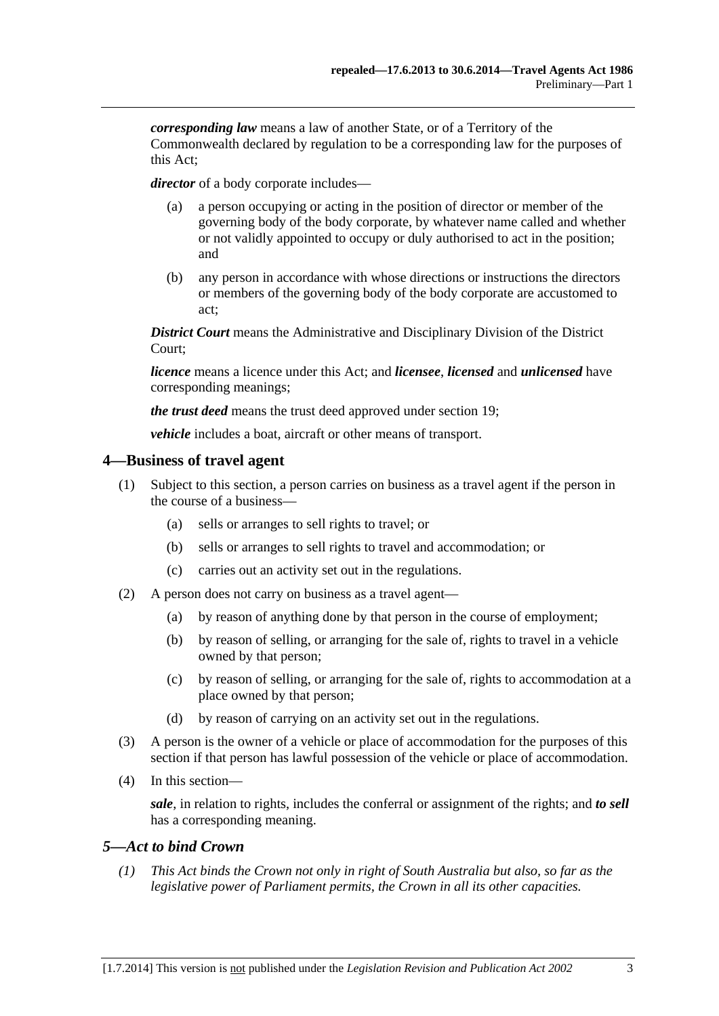<span id="page-2-0"></span>*corresponding law* means a law of another State, or of a Territory of the Commonwealth declared by regulation to be a corresponding law for the purposes of this Act;

*director* of a body corporate includes—

- (a) a person occupying or acting in the position of director or member of the governing body of the body corporate, by whatever name called and whether or not validly appointed to occupy or duly authorised to act in the position; and
- (b) any person in accordance with whose directions or instructions the directors or members of the governing body of the body corporate are accustomed to act;

*District Court* means the Administrative and Disciplinary Division of the District Court;

*licence* means a licence under this Act; and *licensee*, *licensed* and *unlicensed* have corresponding meanings;

*the trust deed* means the trust deed approved under [section 19](#page-9-0);

*vehicle* includes a boat, aircraft or other means of transport.

### **4—Business of travel agent**

- (1) Subject to this section, a person carries on business as a travel agent if the person in the course of a business—
	- (a) sells or arranges to sell rights to travel; or
	- (b) sells or arranges to sell rights to travel and accommodation; or
	- (c) carries out an activity set out in the regulations.
- (2) A person does not carry on business as a travel agent—
	- (a) by reason of anything done by that person in the course of employment;
	- (b) by reason of selling, or arranging for the sale of, rights to travel in a vehicle owned by that person;
	- (c) by reason of selling, or arranging for the sale of, rights to accommodation at a place owned by that person;
	- (d) by reason of carrying on an activity set out in the regulations.
- (3) A person is the owner of a vehicle or place of accommodation for the purposes of this section if that person has lawful possession of the vehicle or place of accommodation.
- (4) In this section—

*sale*, in relation to rights, includes the conferral or assignment of the rights; and *to sell* has a corresponding meaning.

# *5—Act to bind Crown*

 *(1) This Act binds the Crown not only in right of South Australia but also, so far as the legislative power of Parliament permits, the Crown in all its other capacities.*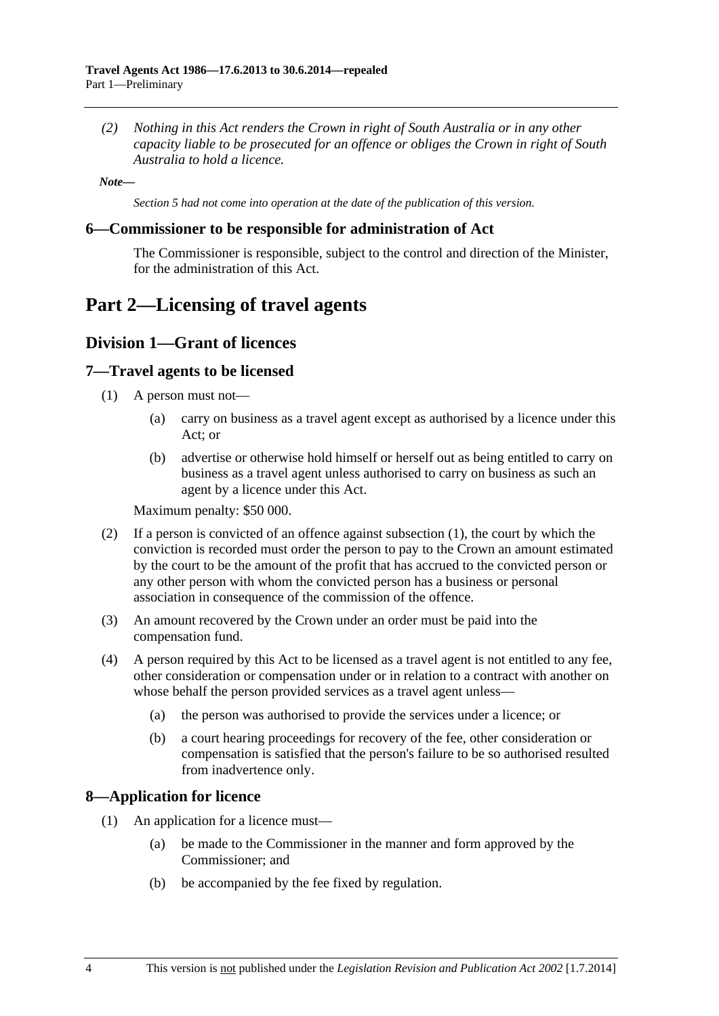<span id="page-3-0"></span> *(2) Nothing in this Act renders the Crown in right of South Australia or in any other capacity liable to be prosecuted for an offence or obliges the Crown in right of South Australia to hold a licence.* 

*Note—* 

*Section 5 had not come into operation at the date of the publication of this version.* 

#### **6—Commissioner to be responsible for administration of Act**

The Commissioner is responsible, subject to the control and direction of the Minister, for the administration of this Act.

# **Part 2—Licensing of travel agents**

# **Division 1—Grant of licences**

### **7—Travel agents to be licensed**

- (1) A person must not—
	- (a) carry on business as a travel agent except as authorised by a licence under this Act; or
	- (b) advertise or otherwise hold himself or herself out as being entitled to carry on business as a travel agent unless authorised to carry on business as such an agent by a licence under this Act.

Maximum penalty: \$50 000.

- (2) If a person is convicted of an offence against [subsection \(1\),](#page-3-0) the court by which the conviction is recorded must order the person to pay to the Crown an amount estimated by the court to be the amount of the profit that has accrued to the convicted person or any other person with whom the convicted person has a business or personal association in consequence of the commission of the offence.
- (3) An amount recovered by the Crown under an order must be paid into the compensation fund.
- (4) A person required by this Act to be licensed as a travel agent is not entitled to any fee, other consideration or compensation under or in relation to a contract with another on whose behalf the person provided services as a travel agent unless—
	- (a) the person was authorised to provide the services under a licence; or
	- (b) a court hearing proceedings for recovery of the fee, other consideration or compensation is satisfied that the person's failure to be so authorised resulted from inadvertence only.

# **8—Application for licence**

- (1) An application for a licence must—
	- (a) be made to the Commissioner in the manner and form approved by the Commissioner; and
	- (b) be accompanied by the fee fixed by regulation.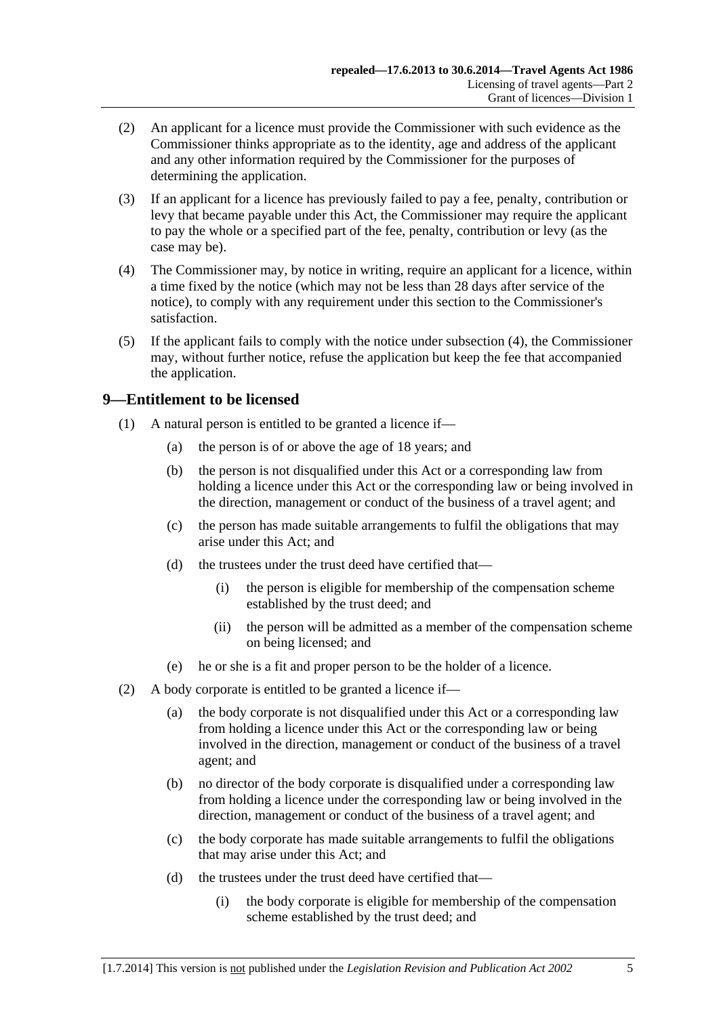- <span id="page-4-0"></span> (2) An applicant for a licence must provide the Commissioner with such evidence as the Commissioner thinks appropriate as to the identity, age and address of the applicant and any other information required by the Commissioner for the purposes of determining the application.
- (3) If an applicant for a licence has previously failed to pay a fee, penalty, contribution or levy that became payable under this Act, the Commissioner may require the applicant to pay the whole or a specified part of the fee, penalty, contribution or levy (as the case may be).
- (4) The Commissioner may, by notice in writing, require an applicant for a licence, within a time fixed by the notice (which may not be less than 28 days after service of the notice), to comply with any requirement under this section to the Commissioner's satisfaction.
- (5) If the applicant fails to comply with the notice under [subsection \(4\)](#page-4-0), the Commissioner may, without further notice, refuse the application but keep the fee that accompanied the application.

# **9—Entitlement to be licensed**

- (1) A natural person is entitled to be granted a licence if—
	- (a) the person is of or above the age of 18 years; and
	- (b) the person is not disqualified under this Act or a corresponding law from holding a licence under this Act or the corresponding law or being involved in the direction, management or conduct of the business of a travel agent; and
	- (c) the person has made suitable arrangements to fulfil the obligations that may arise under this Act; and
	- (d) the trustees under the trust deed have certified that—
		- (i) the person is eligible for membership of the compensation scheme established by the trust deed; and
		- (ii) the person will be admitted as a member of the compensation scheme on being licensed; and
	- (e) he or she is a fit and proper person to be the holder of a licence.
- (2) A body corporate is entitled to be granted a licence if—
	- (a) the body corporate is not disqualified under this Act or a corresponding law from holding a licence under this Act or the corresponding law or being involved in the direction, management or conduct of the business of a travel agent; and
	- (b) no director of the body corporate is disqualified under a corresponding law from holding a licence under the corresponding law or being involved in the direction, management or conduct of the business of a travel agent; and
	- (c) the body corporate has made suitable arrangements to fulfil the obligations that may arise under this Act; and
	- (d) the trustees under the trust deed have certified that—
		- (i) the body corporate is eligible for membership of the compensation scheme established by the trust deed; and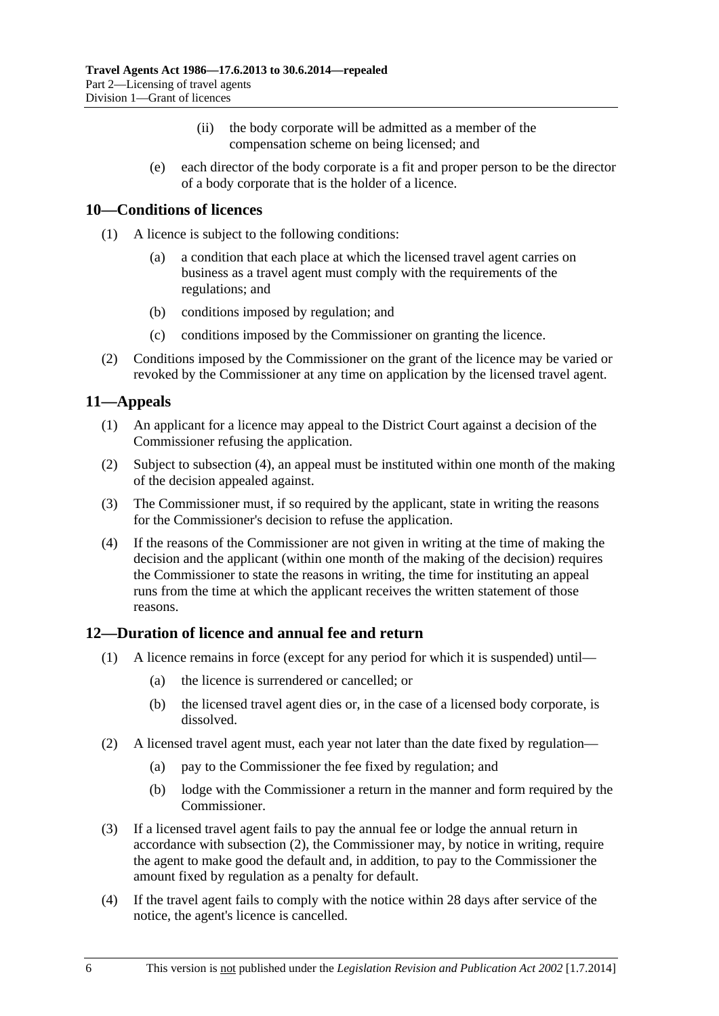- (ii) the body corporate will be admitted as a member of the compensation scheme on being licensed; and
- <span id="page-5-0"></span> (e) each director of the body corporate is a fit and proper person to be the director of a body corporate that is the holder of a licence.

# **10—Conditions of licences**

- (1) A licence is subject to the following conditions:
	- (a) a condition that each place at which the licensed travel agent carries on business as a travel agent must comply with the requirements of the regulations; and
	- (b) conditions imposed by regulation; and
	- (c) conditions imposed by the Commissioner on granting the licence.
- (2) Conditions imposed by the Commissioner on the grant of the licence may be varied or revoked by the Commissioner at any time on application by the licensed travel agent.

# **11—Appeals**

- (1) An applicant for a licence may appeal to the District Court against a decision of the Commissioner refusing the application.
- (2) Subject to [subsection \(4\),](#page-5-0) an appeal must be instituted within one month of the making of the decision appealed against.
- (3) The Commissioner must, if so required by the applicant, state in writing the reasons for the Commissioner's decision to refuse the application.
- (4) If the reasons of the Commissioner are not given in writing at the time of making the decision and the applicant (within one month of the making of the decision) requires the Commissioner to state the reasons in writing, the time for instituting an appeal runs from the time at which the applicant receives the written statement of those reasons.

# **12—Duration of licence and annual fee and return**

- (1) A licence remains in force (except for any period for which it is suspended) until—
	- (a) the licence is surrendered or cancelled; or
	- (b) the licensed travel agent dies or, in the case of a licensed body corporate, is dissolved.
- (2) A licensed travel agent must, each year not later than the date fixed by regulation—
	- (a) pay to the Commissioner the fee fixed by regulation; and
	- (b) lodge with the Commissioner a return in the manner and form required by the Commissioner.
- (3) If a licensed travel agent fails to pay the annual fee or lodge the annual return in accordance with [subsection \(2\)](#page-5-0), the Commissioner may, by notice in writing, require the agent to make good the default and, in addition, to pay to the Commissioner the amount fixed by regulation as a penalty for default.
- (4) If the travel agent fails to comply with the notice within 28 days after service of the notice, the agent's licence is cancelled.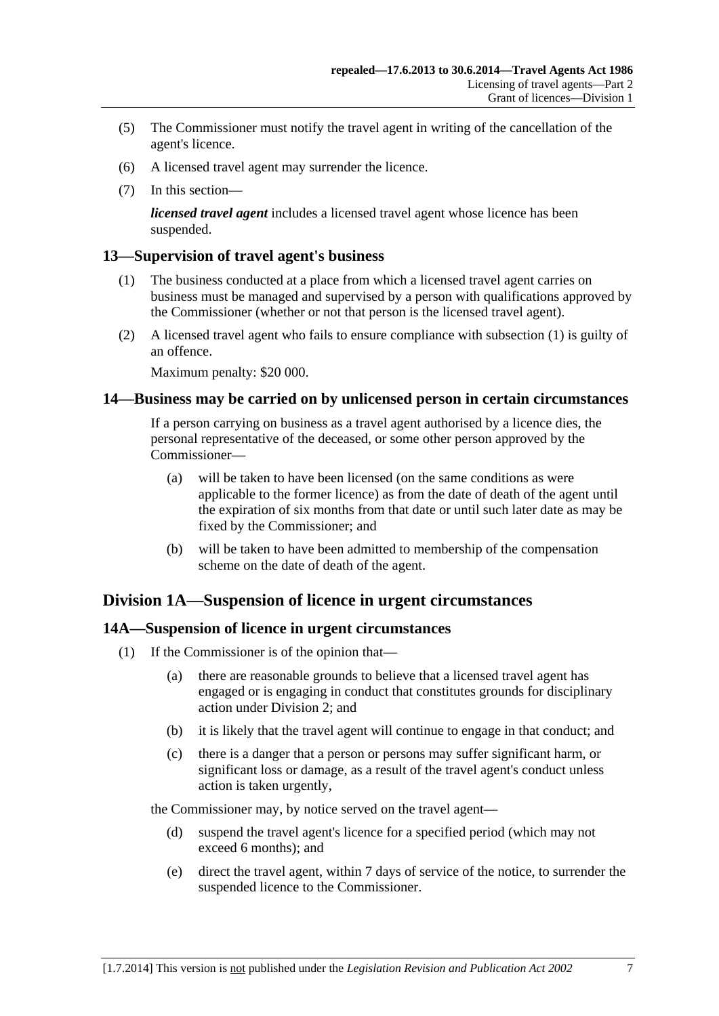- <span id="page-6-0"></span> (5) The Commissioner must notify the travel agent in writing of the cancellation of the agent's licence.
- (6) A licensed travel agent may surrender the licence.
- (7) In this section—

*licensed travel agent* includes a licensed travel agent whose licence has been suspended.

# **13—Supervision of travel agent's business**

- (1) The business conducted at a place from which a licensed travel agent carries on business must be managed and supervised by a person with qualifications approved by the Commissioner (whether or not that person is the licensed travel agent).
- (2) A licensed travel agent who fails to ensure compliance with [subsection \(1\)](#page-6-0) is guilty of an offence.

Maximum penalty: \$20 000.

# **14—Business may be carried on by unlicensed person in certain circumstances**

If a person carrying on business as a travel agent authorised by a licence dies, the personal representative of the deceased, or some other person approved by the Commissioner—

- (a) will be taken to have been licensed (on the same conditions as were applicable to the former licence) as from the date of death of the agent until the expiration of six months from that date or until such later date as may be fixed by the Commissioner; and
- (b) will be taken to have been admitted to membership of the compensation scheme on the date of death of the agent.

# **Division 1A—Suspension of licence in urgent circumstances**

# **14A—Suspension of licence in urgent circumstances**

- (1) If the Commissioner is of the opinion that—
	- (a) there are reasonable grounds to believe that a licensed travel agent has engaged or is engaging in conduct that constitutes grounds for disciplinary action under [Division 2;](#page-7-0) and
	- (b) it is likely that the travel agent will continue to engage in that conduct; and
	- (c) there is a danger that a person or persons may suffer significant harm, or significant loss or damage, as a result of the travel agent's conduct unless action is taken urgently,

the Commissioner may, by notice served on the travel agent—

- (d) suspend the travel agent's licence for a specified period (which may not exceed 6 months); and
- (e) direct the travel agent, within 7 days of service of the notice, to surrender the suspended licence to the Commissioner.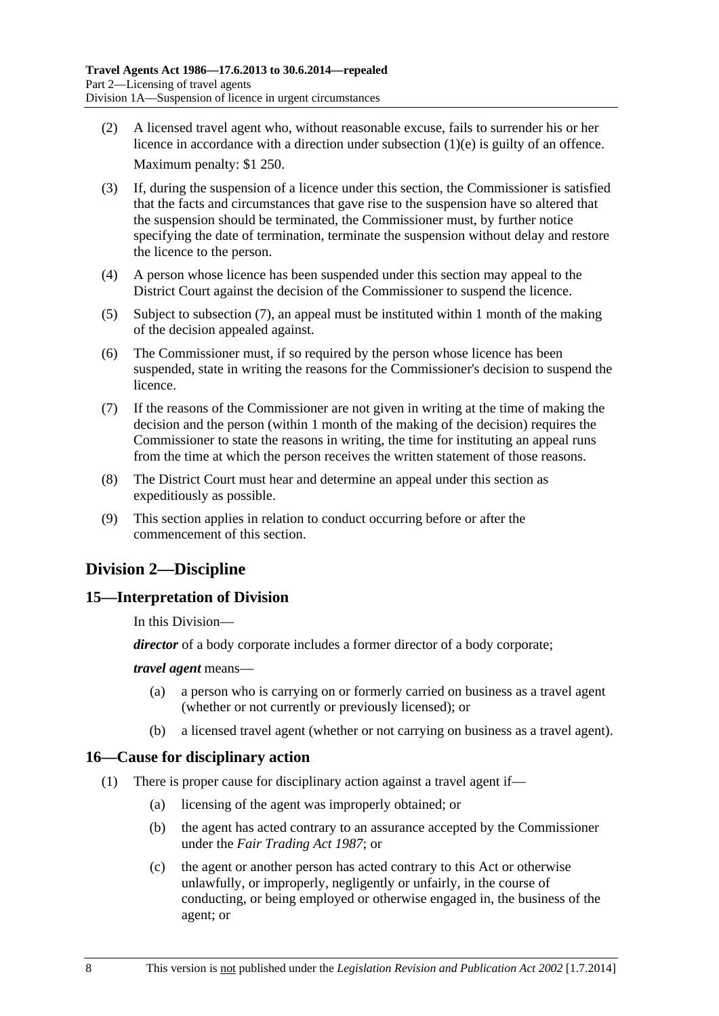- <span id="page-7-0"></span> (2) A licensed travel agent who, without reasonable excuse, fails to surrender his or her licence in accordance with a direction under [subsection \(1\)\(e\)](#page-6-0) is guilty of an offence. Maximum penalty: \$1 250.
- (3) If, during the suspension of a licence under this section, the Commissioner is satisfied that the facts and circumstances that gave rise to the suspension have so altered that the suspension should be terminated, the Commissioner must, by further notice specifying the date of termination, terminate the suspension without delay and restore the licence to the person.
- (4) A person whose licence has been suspended under this section may appeal to the District Court against the decision of the Commissioner to suspend the licence.
- (5) Subject to [subsection \(7\),](#page-7-0) an appeal must be instituted within 1 month of the making of the decision appealed against.
- (6) The Commissioner must, if so required by the person whose licence has been suspended, state in writing the reasons for the Commissioner's decision to suspend the licence.
- (7) If the reasons of the Commissioner are not given in writing at the time of making the decision and the person (within 1 month of the making of the decision) requires the Commissioner to state the reasons in writing, the time for instituting an appeal runs from the time at which the person receives the written statement of those reasons.
- (8) The District Court must hear and determine an appeal under this section as expeditiously as possible.
- (9) This section applies in relation to conduct occurring before or after the commencement of this section.

# **Division 2—Discipline**

# **15—Interpretation of Division**

In this Division—

*director* of a body corporate includes a former director of a body corporate;

#### *travel agent* means—

- (a) a person who is carrying on or formerly carried on business as a travel agent (whether or not currently or previously licensed); or
- (b) a licensed travel agent (whether or not carrying on business as a travel agent).

# **16—Cause for disciplinary action**

- (1) There is proper cause for disciplinary action against a travel agent if—
	- (a) licensing of the agent was improperly obtained; or
	- (b) the agent has acted contrary to an assurance accepted by the Commissioner under the *[Fair Trading Act 1987](http://www.legislation.sa.gov.au/index.aspx?action=legref&type=act&legtitle=Fair%20Trading%20Act%201987)*; or
	- (c) the agent or another person has acted contrary to this Act or otherwise unlawfully, or improperly, negligently or unfairly, in the course of conducting, or being employed or otherwise engaged in, the business of the agent; or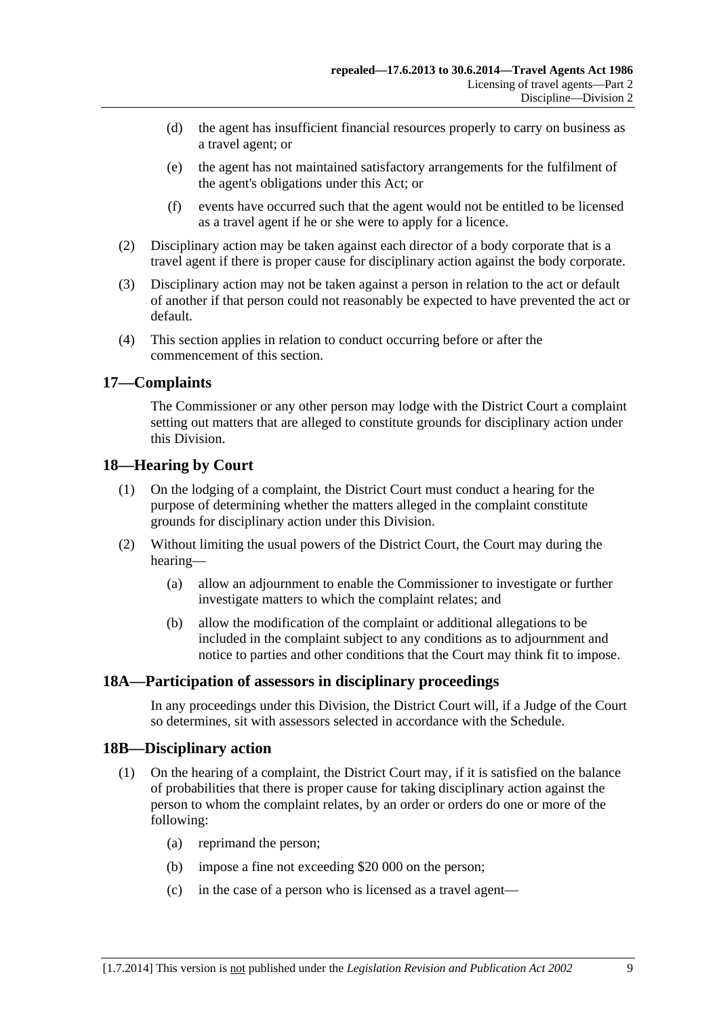- <span id="page-8-0"></span> (d) the agent has insufficient financial resources properly to carry on business as a travel agent; or
- (e) the agent has not maintained satisfactory arrangements for the fulfilment of the agent's obligations under this Act; or
- (f) events have occurred such that the agent would not be entitled to be licensed as a travel agent if he or she were to apply for a licence.
- (2) Disciplinary action may be taken against each director of a body corporate that is a travel agent if there is proper cause for disciplinary action against the body corporate.
- (3) Disciplinary action may not be taken against a person in relation to the act or default of another if that person could not reasonably be expected to have prevented the act or default.
- (4) This section applies in relation to conduct occurring before or after the commencement of this section.

# **17—Complaints**

The Commissioner or any other person may lodge with the District Court a complaint setting out matters that are alleged to constitute grounds for disciplinary action under this Division.

# **18—Hearing by Court**

- (1) On the lodging of a complaint, the District Court must conduct a hearing for the purpose of determining whether the matters alleged in the complaint constitute grounds for disciplinary action under this Division.
- (2) Without limiting the usual powers of the District Court, the Court may during the hearing—
	- (a) allow an adjournment to enable the Commissioner to investigate or further investigate matters to which the complaint relates; and
	- (b) allow the modification of the complaint or additional allegations to be included in the complaint subject to any conditions as to adjournment and notice to parties and other conditions that the Court may think fit to impose.

# **18A—Participation of assessors in disciplinary proceedings**

In any proceedings under this Division, the District Court will, if a Judge of the Court so determines, sit with assessors selected in accordance with the [Schedule](#page-17-0).

# **18B—Disciplinary action**

- (1) On the hearing of a complaint, the District Court may, if it is satisfied on the balance of probabilities that there is proper cause for taking disciplinary action against the person to whom the complaint relates, by an order or orders do one or more of the following:
	- (a) reprimand the person;
	- (b) impose a fine not exceeding \$20 000 on the person;
	- (c) in the case of a person who is licensed as a travel agent—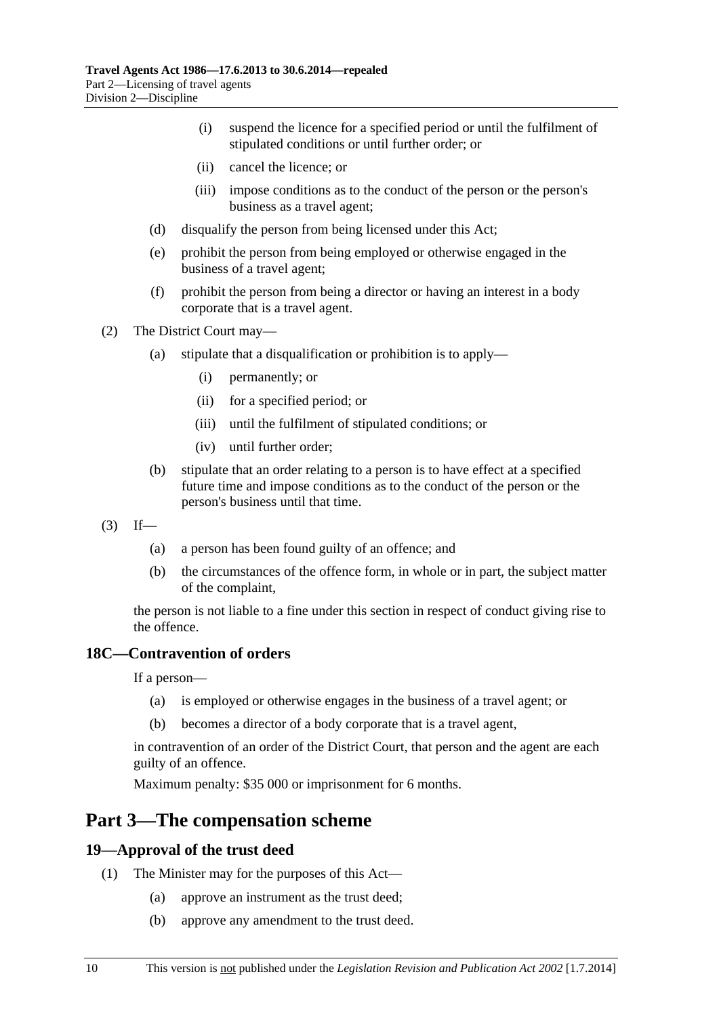- <span id="page-9-0"></span> (i) suspend the licence for a specified period or until the fulfilment of stipulated conditions or until further order; or
- (ii) cancel the licence; or
- (iii) impose conditions as to the conduct of the person or the person's business as a travel agent;
- (d) disqualify the person from being licensed under this Act;
- (e) prohibit the person from being employed or otherwise engaged in the business of a travel agent;
- (f) prohibit the person from being a director or having an interest in a body corporate that is a travel agent.

(2) The District Court may—

- (a) stipulate that a disqualification or prohibition is to apply—
	- (i) permanently; or
	- (ii) for a specified period; or
	- (iii) until the fulfilment of stipulated conditions; or
	- (iv) until further order;
- (b) stipulate that an order relating to a person is to have effect at a specified future time and impose conditions as to the conduct of the person or the person's business until that time.
- $(3)$  If—
	- (a) a person has been found guilty of an offence; and
	- (b) the circumstances of the offence form, in whole or in part, the subject matter of the complaint,

the person is not liable to a fine under this section in respect of conduct giving rise to the offence.

#### **18C—Contravention of orders**

If a person—

- (a) is employed or otherwise engages in the business of a travel agent; or
- (b) becomes a director of a body corporate that is a travel agent,

in contravention of an order of the District Court, that person and the agent are each guilty of an offence.

Maximum penalty: \$35 000 or imprisonment for 6 months.

# **Part 3—The compensation scheme**

#### **19—Approval of the trust deed**

- (1) The Minister may for the purposes of this Act—
	- (a) approve an instrument as the trust deed;
	- (b) approve any amendment to the trust deed.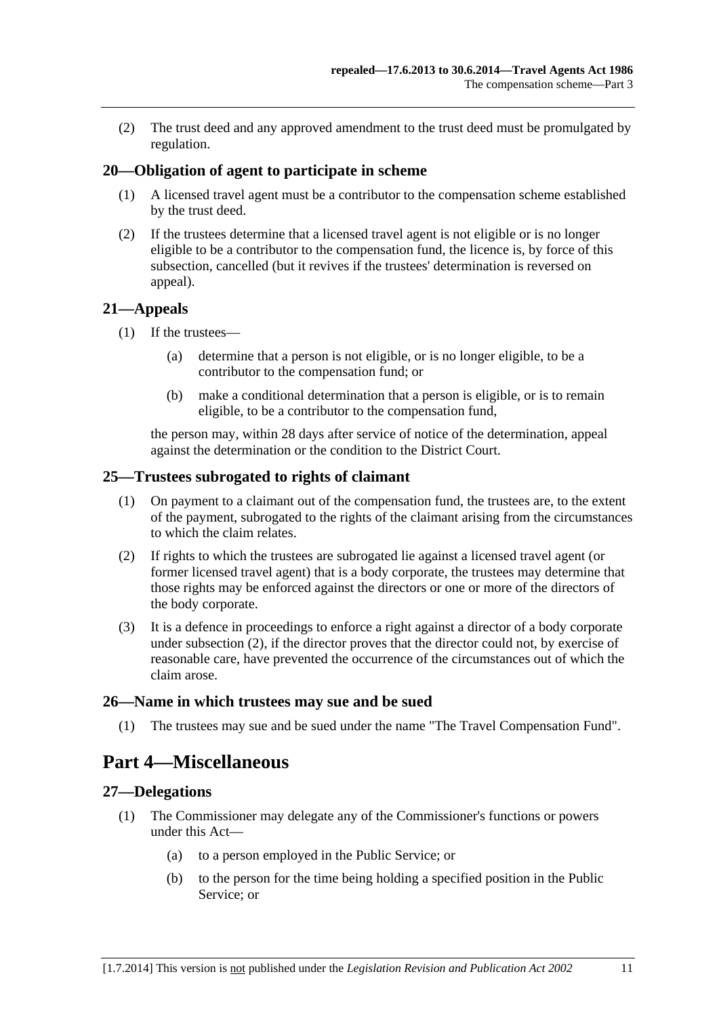<span id="page-10-0"></span> (2) The trust deed and any approved amendment to the trust deed must be promulgated by regulation.

# **20—Obligation of agent to participate in scheme**

- (1) A licensed travel agent must be a contributor to the compensation scheme established by the trust deed.
- (2) If the trustees determine that a licensed travel agent is not eligible or is no longer eligible to be a contributor to the compensation fund, the licence is, by force of this subsection, cancelled (but it revives if the trustees' determination is reversed on appeal).

#### **21—Appeals**

- (1) If the trustees—
	- (a) determine that a person is not eligible, or is no longer eligible, to be a contributor to the compensation fund; or
	- (b) make a conditional determination that a person is eligible, or is to remain eligible, to be a contributor to the compensation fund,

the person may, within 28 days after service of notice of the determination, appeal against the determination or the condition to the District Court.

#### **25—Trustees subrogated to rights of claimant**

- (1) On payment to a claimant out of the compensation fund, the trustees are, to the extent of the payment, subrogated to the rights of the claimant arising from the circumstances to which the claim relates.
- (2) If rights to which the trustees are subrogated lie against a licensed travel agent (or former licensed travel agent) that is a body corporate, the trustees may determine that those rights may be enforced against the directors or one or more of the directors of the body corporate.
- (3) It is a defence in proceedings to enforce a right against a director of a body corporate under [subsection \(2\),](#page-10-0) if the director proves that the director could not, by exercise of reasonable care, have prevented the occurrence of the circumstances out of which the claim arose.

#### **26—Name in which trustees may sue and be sued**

(1) The trustees may sue and be sued under the name "The Travel Compensation Fund".

# **Part 4—Miscellaneous**

#### **27—Delegations**

- (1) The Commissioner may delegate any of the Commissioner's functions or powers under this Act—
	- (a) to a person employed in the Public Service; or
	- (b) to the person for the time being holding a specified position in the Public Service; or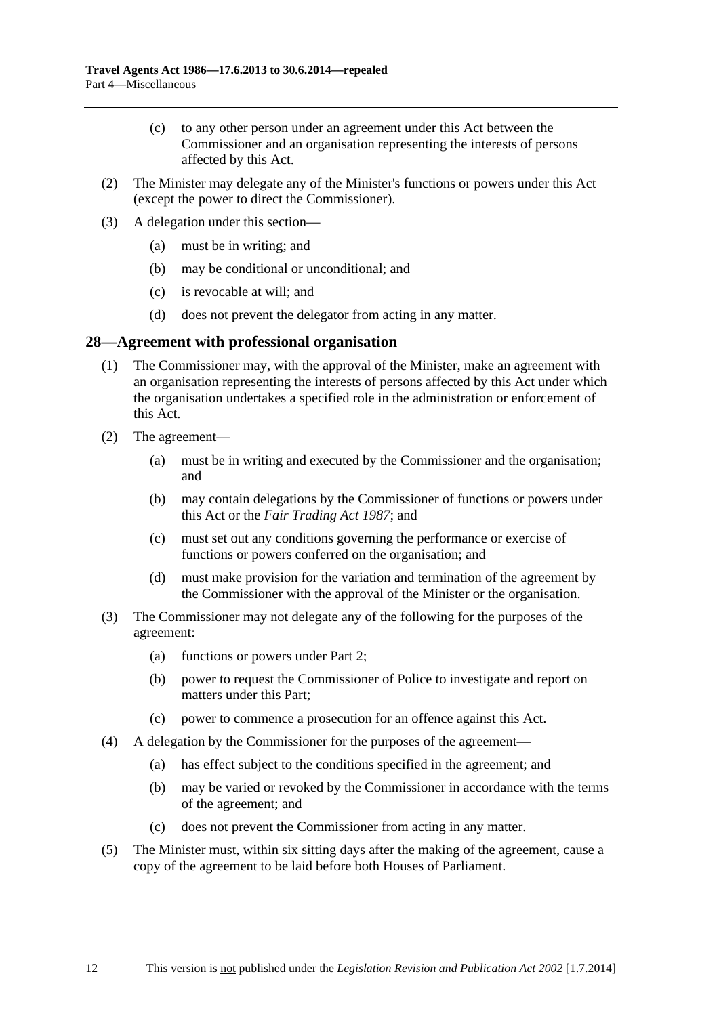- <span id="page-11-0"></span> (c) to any other person under an agreement under this Act between the Commissioner and an organisation representing the interests of persons affected by this Act.
- (2) The Minister may delegate any of the Minister's functions or powers under this Act (except the power to direct the Commissioner).
- (3) A delegation under this section—
	- (a) must be in writing; and
	- (b) may be conditional or unconditional; and
	- (c) is revocable at will; and
	- (d) does not prevent the delegator from acting in any matter.

### **28—Agreement with professional organisation**

- (1) The Commissioner may, with the approval of the Minister, make an agreement with an organisation representing the interests of persons affected by this Act under which the organisation undertakes a specified role in the administration or enforcement of this Act.
- (2) The agreement—
	- (a) must be in writing and executed by the Commissioner and the organisation; and
	- (b) may contain delegations by the Commissioner of functions or powers under this Act or the *[Fair Trading Act 1987](http://www.legislation.sa.gov.au/index.aspx?action=legref&type=act&legtitle=Fair%20Trading%20Act%201987)*; and
	- (c) must set out any conditions governing the performance or exercise of functions or powers conferred on the organisation; and
	- (d) must make provision for the variation and termination of the agreement by the Commissioner with the approval of the Minister or the organisation.
- (3) The Commissioner may not delegate any of the following for the purposes of the agreement:
	- (a) functions or powers under [Part 2;](#page-3-0)
	- (b) power to request the Commissioner of Police to investigate and report on matters under this Part;
	- (c) power to commence a prosecution for an offence against this Act.
- (4) A delegation by the Commissioner for the purposes of the agreement—
	- (a) has effect subject to the conditions specified in the agreement; and
	- (b) may be varied or revoked by the Commissioner in accordance with the terms of the agreement; and
	- (c) does not prevent the Commissioner from acting in any matter.
- (5) The Minister must, within six sitting days after the making of the agreement, cause a copy of the agreement to be laid before both Houses of Parliament.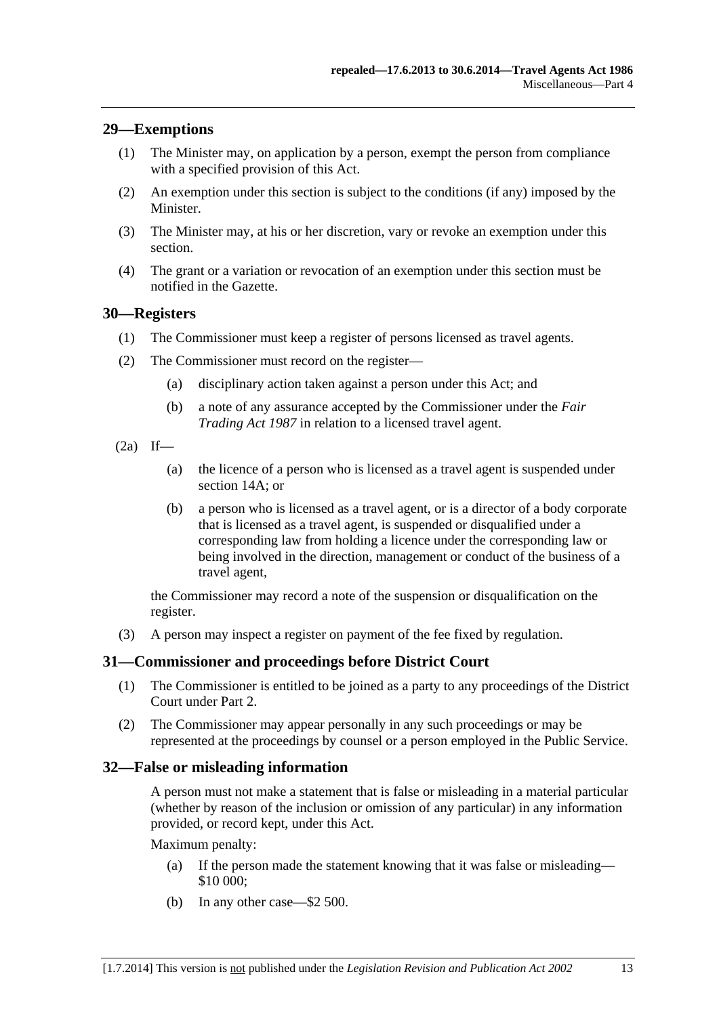# <span id="page-12-0"></span>**29—Exemptions**

- (1) The Minister may, on application by a person, exempt the person from compliance with a specified provision of this Act.
- (2) An exemption under this section is subject to the conditions (if any) imposed by the Minister.
- (3) The Minister may, at his or her discretion, vary or revoke an exemption under this section.
- (4) The grant or a variation or revocation of an exemption under this section must be notified in the Gazette.

### **30—Registers**

- (1) The Commissioner must keep a register of persons licensed as travel agents.
- (2) The Commissioner must record on the register—
	- (a) disciplinary action taken against a person under this Act; and
	- (b) a note of any assurance accepted by the Commissioner under the *[Fair](http://www.legislation.sa.gov.au/index.aspx?action=legref&type=act&legtitle=Fair%20Trading%20Act%201987)  [Trading Act 1987](http://www.legislation.sa.gov.au/index.aspx?action=legref&type=act&legtitle=Fair%20Trading%20Act%201987)* in relation to a licensed travel agent.
- $(2a)$  If—
	- (a) the licence of a person who is licensed as a travel agent is suspended under [section 14A;](#page-6-0) or
	- (b) a person who is licensed as a travel agent, or is a director of a body corporate that is licensed as a travel agent, is suspended or disqualified under a corresponding law from holding a licence under the corresponding law or being involved in the direction, management or conduct of the business of a travel agent,

the Commissioner may record a note of the suspension or disqualification on the register.

(3) A person may inspect a register on payment of the fee fixed by regulation.

# **31—Commissioner and proceedings before District Court**

- (1) The Commissioner is entitled to be joined as a party to any proceedings of the District Court under [Part 2](#page-3-0).
- (2) The Commissioner may appear personally in any such proceedings or may be represented at the proceedings by counsel or a person employed in the Public Service.

#### **32—False or misleading information**

A person must not make a statement that is false or misleading in a material particular (whether by reason of the inclusion or omission of any particular) in any information provided, or record kept, under this Act.

Maximum penalty:

- (a) If the person made the statement knowing that it was false or misleading— \$10 000;
- (b) In any other case—\$2 500.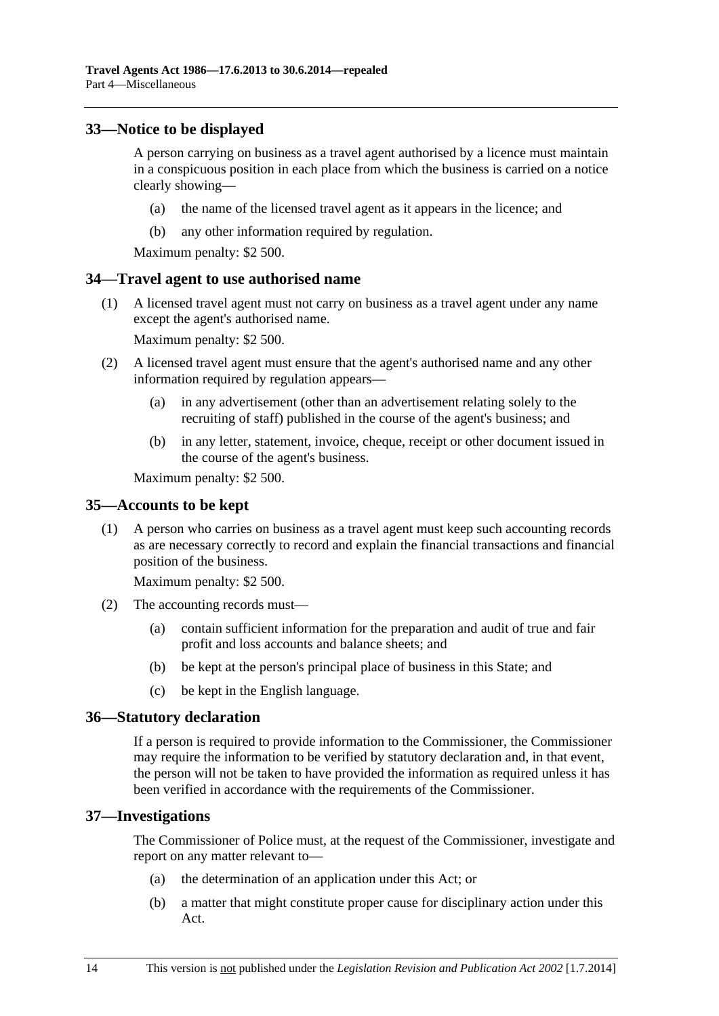# <span id="page-13-0"></span>**33—Notice to be displayed**

A person carrying on business as a travel agent authorised by a licence must maintain in a conspicuous position in each place from which the business is carried on a notice clearly showing—

- (a) the name of the licensed travel agent as it appears in the licence; and
- (b) any other information required by regulation.

Maximum penalty: \$2 500.

# **34—Travel agent to use authorised name**

 (1) A licensed travel agent must not carry on business as a travel agent under any name except the agent's authorised name.

Maximum penalty: \$2 500.

- (2) A licensed travel agent must ensure that the agent's authorised name and any other information required by regulation appears—
	- (a) in any advertisement (other than an advertisement relating solely to the recruiting of staff) published in the course of the agent's business; and
	- (b) in any letter, statement, invoice, cheque, receipt or other document issued in the course of the agent's business.

Maximum penalty: \$2 500.

#### **35—Accounts to be kept**

 (1) A person who carries on business as a travel agent must keep such accounting records as are necessary correctly to record and explain the financial transactions and financial position of the business.

Maximum penalty: \$2 500.

- (2) The accounting records must—
	- (a) contain sufficient information for the preparation and audit of true and fair profit and loss accounts and balance sheets; and
	- (b) be kept at the person's principal place of business in this State; and
	- (c) be kept in the English language.

#### **36—Statutory declaration**

If a person is required to provide information to the Commissioner, the Commissioner may require the information to be verified by statutory declaration and, in that event, the person will not be taken to have provided the information as required unless it has been verified in accordance with the requirements of the Commissioner.

#### **37—Investigations**

The Commissioner of Police must, at the request of the Commissioner, investigate and report on any matter relevant to—

- (a) the determination of an application under this Act; or
- (b) a matter that might constitute proper cause for disciplinary action under this Act.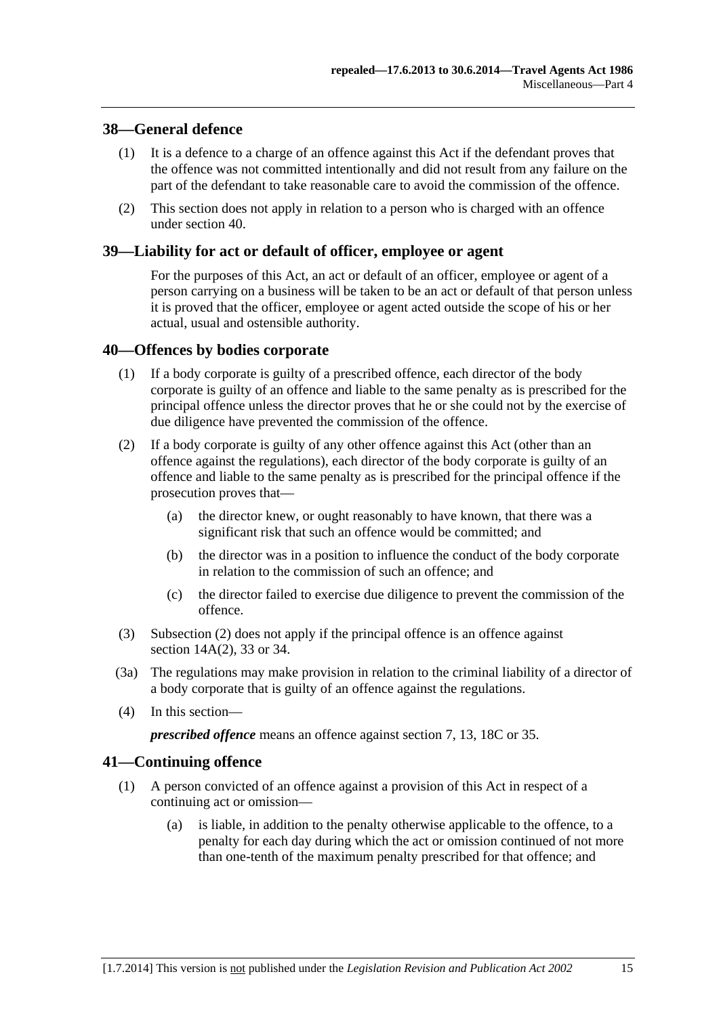# <span id="page-14-0"></span>**38—General defence**

- (1) It is a defence to a charge of an offence against this Act if the defendant proves that the offence was not committed intentionally and did not result from any failure on the part of the defendant to take reasonable care to avoid the commission of the offence.
- (2) This section does not apply in relation to a person who is charged with an offence under [section 40.](#page-14-0)

# **39—Liability for act or default of officer, employee or agent**

For the purposes of this Act, an act or default of an officer, employee or agent of a person carrying on a business will be taken to be an act or default of that person unless it is proved that the officer, employee or agent acted outside the scope of his or her actual, usual and ostensible authority.

### **40—Offences by bodies corporate**

- (1) If a body corporate is guilty of a prescribed offence, each director of the body corporate is guilty of an offence and liable to the same penalty as is prescribed for the principal offence unless the director proves that he or she could not by the exercise of due diligence have prevented the commission of the offence.
- (2) If a body corporate is guilty of any other offence against this Act (other than an offence against the regulations), each director of the body corporate is guilty of an offence and liable to the same penalty as is prescribed for the principal offence if the prosecution proves that—
	- (a) the director knew, or ought reasonably to have known, that there was a significant risk that such an offence would be committed; and
	- (b) the director was in a position to influence the conduct of the body corporate in relation to the commission of such an offence; and
	- (c) the director failed to exercise due diligence to prevent the commission of the offence.
- (3) [Subsection \(2\)](#page-14-0) does not apply if the principal offence is an offence against [section 14A\(2\),](#page-7-0) [33](#page-13-0) or [34.](#page-13-0)
- (3a) The regulations may make provision in relation to the criminal liability of a director of a body corporate that is guilty of an offence against the regulations.
- (4) In this section—

*prescribed offence* means an offence against [section 7,](#page-3-0) [13](#page-6-0), [18C](#page-9-0) or [35.](#page-13-0)

# **41—Continuing offence**

- (1) A person convicted of an offence against a provision of this Act in respect of a continuing act or omission—
	- (a) is liable, in addition to the penalty otherwise applicable to the offence, to a penalty for each day during which the act or omission continued of not more than one-tenth of the maximum penalty prescribed for that offence; and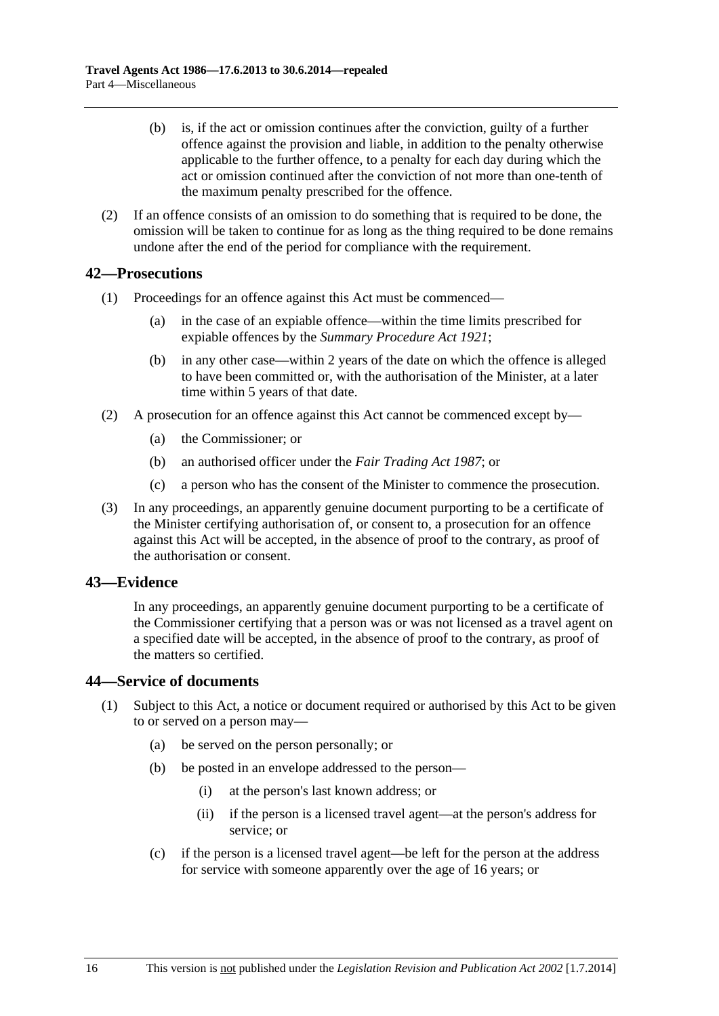- <span id="page-15-0"></span> (b) is, if the act or omission continues after the conviction, guilty of a further offence against the provision and liable, in addition to the penalty otherwise applicable to the further offence, to a penalty for each day during which the act or omission continued after the conviction of not more than one-tenth of the maximum penalty prescribed for the offence.
- (2) If an offence consists of an omission to do something that is required to be done, the omission will be taken to continue for as long as the thing required to be done remains undone after the end of the period for compliance with the requirement.

# **42—Prosecutions**

- (1) Proceedings for an offence against this Act must be commenced—
	- (a) in the case of an expiable offence—within the time limits prescribed for expiable offences by the *[Summary Procedure Act 1921](http://www.legislation.sa.gov.au/index.aspx?action=legref&type=act&legtitle=Summary%20Procedure%20Act%201921)*;
	- (b) in any other case—within 2 years of the date on which the offence is alleged to have been committed or, with the authorisation of the Minister, at a later time within 5 years of that date.
- (2) A prosecution for an offence against this Act cannot be commenced except by—
	- (a) the Commissioner; or
	- (b) an authorised officer under the *[Fair Trading Act 1987](http://www.legislation.sa.gov.au/index.aspx?action=legref&type=act&legtitle=Fair%20Trading%20Act%201987)*; or
	- (c) a person who has the consent of the Minister to commence the prosecution.
- (3) In any proceedings, an apparently genuine document purporting to be a certificate of the Minister certifying authorisation of, or consent to, a prosecution for an offence against this Act will be accepted, in the absence of proof to the contrary, as proof of the authorisation or consent.

#### **43—Evidence**

In any proceedings, an apparently genuine document purporting to be a certificate of the Commissioner certifying that a person was or was not licensed as a travel agent on a specified date will be accepted, in the absence of proof to the contrary, as proof of the matters so certified.

#### **44—Service of documents**

- (1) Subject to this Act, a notice or document required or authorised by this Act to be given to or served on a person may—
	- (a) be served on the person personally; or
	- (b) be posted in an envelope addressed to the person—
		- (i) at the person's last known address; or
		- (ii) if the person is a licensed travel agent—at the person's address for service; or
	- (c) if the person is a licensed travel agent—be left for the person at the address for service with someone apparently over the age of 16 years; or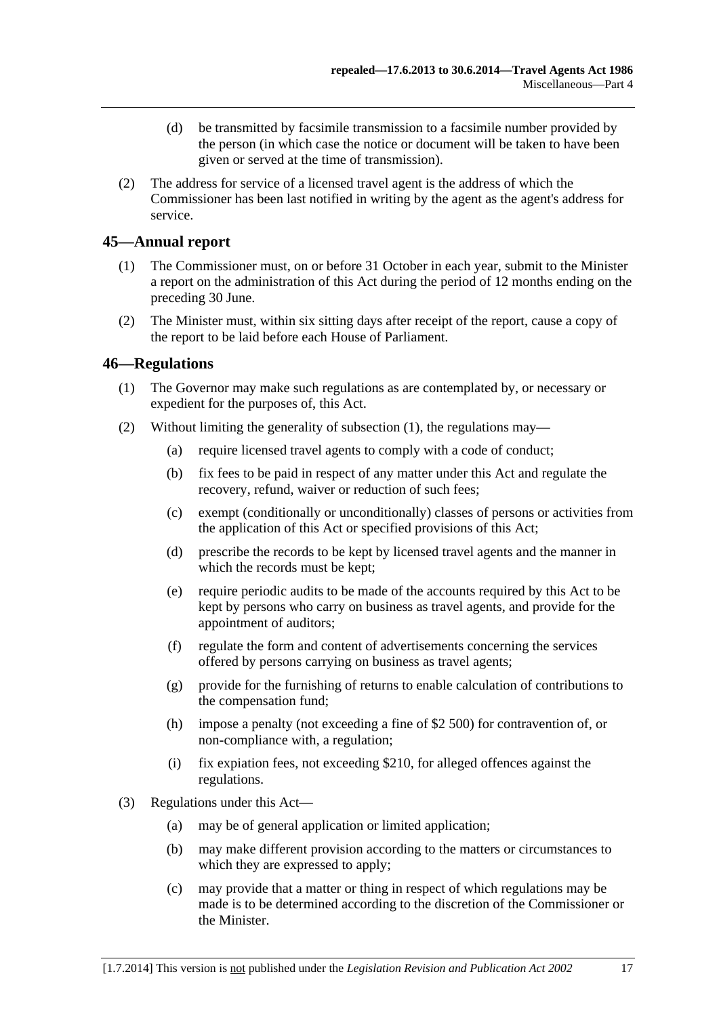- <span id="page-16-0"></span> (d) be transmitted by facsimile transmission to a facsimile number provided by the person (in which case the notice or document will be taken to have been given or served at the time of transmission).
- (2) The address for service of a licensed travel agent is the address of which the Commissioner has been last notified in writing by the agent as the agent's address for service.

# **45—Annual report**

- (1) The Commissioner must, on or before 31 October in each year, submit to the Minister a report on the administration of this Act during the period of 12 months ending on the preceding 30 June.
- (2) The Minister must, within six sitting days after receipt of the report, cause a copy of the report to be laid before each House of Parliament.

#### **46—Regulations**

- (1) The Governor may make such regulations as are contemplated by, or necessary or expedient for the purposes of, this Act.
- (2) Without limiting the generality of [subsection \(1\),](#page-16-0) the regulations may—
	- (a) require licensed travel agents to comply with a code of conduct;
	- (b) fix fees to be paid in respect of any matter under this Act and regulate the recovery, refund, waiver or reduction of such fees;
	- (c) exempt (conditionally or unconditionally) classes of persons or activities from the application of this Act or specified provisions of this Act;
	- (d) prescribe the records to be kept by licensed travel agents and the manner in which the records must be kept;
	- (e) require periodic audits to be made of the accounts required by this Act to be kept by persons who carry on business as travel agents, and provide for the appointment of auditors;
	- (f) regulate the form and content of advertisements concerning the services offered by persons carrying on business as travel agents;
	- (g) provide for the furnishing of returns to enable calculation of contributions to the compensation fund;
	- (h) impose a penalty (not exceeding a fine of \$2 500) for contravention of, or non-compliance with, a regulation;
	- (i) fix expiation fees, not exceeding \$210, for alleged offences against the regulations.
- (3) Regulations under this Act—
	- (a) may be of general application or limited application;
	- (b) may make different provision according to the matters or circumstances to which they are expressed to apply;
	- (c) may provide that a matter or thing in respect of which regulations may be made is to be determined according to the discretion of the Commissioner or the Minister.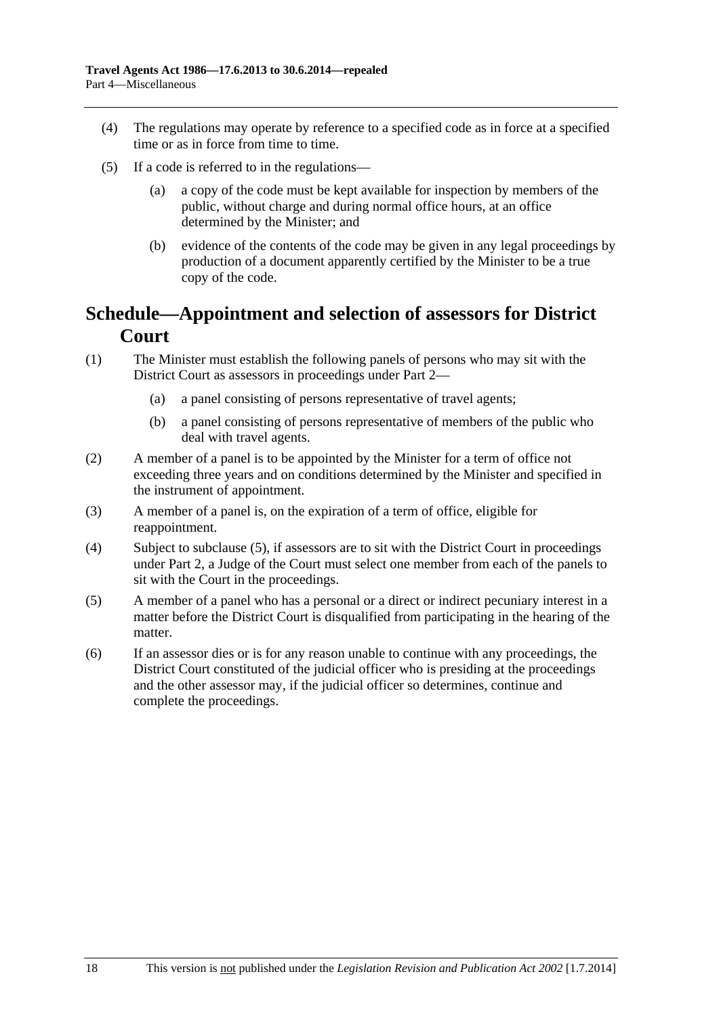- <span id="page-17-0"></span> (4) The regulations may operate by reference to a specified code as in force at a specified time or as in force from time to time.
- (5) If a code is referred to in the regulations—
	- (a) a copy of the code must be kept available for inspection by members of the public, without charge and during normal office hours, at an office determined by the Minister; and
	- (b) evidence of the contents of the code may be given in any legal proceedings by production of a document apparently certified by the Minister to be a true copy of the code.

# **Schedule—Appointment and selection of assessors for District Court**

- (1) The Minister must establish the following panels of persons who may sit with the District Court as assessors in proceedings under [Part 2](#page-3-0)—
	- (a) a panel consisting of persons representative of travel agents;
	- (b) a panel consisting of persons representative of members of the public who deal with travel agents.
- (2) A member of a panel is to be appointed by the Minister for a term of office not exceeding three years and on conditions determined by the Minister and specified in the instrument of appointment.
- (3) A member of a panel is, on the expiration of a term of office, eligible for reappointment.
- (4) Subject to [subclause \(5\),](#page-17-0) if assessors are to sit with the District Court in proceedings under [Part 2,](#page-3-0) a Judge of the Court must select one member from each of the panels to sit with the Court in the proceedings.
- (5) A member of a panel who has a personal or a direct or indirect pecuniary interest in a matter before the District Court is disqualified from participating in the hearing of the matter.
- (6) If an assessor dies or is for any reason unable to continue with any proceedings, the District Court constituted of the judicial officer who is presiding at the proceedings and the other assessor may, if the judicial officer so determines, continue and complete the proceedings.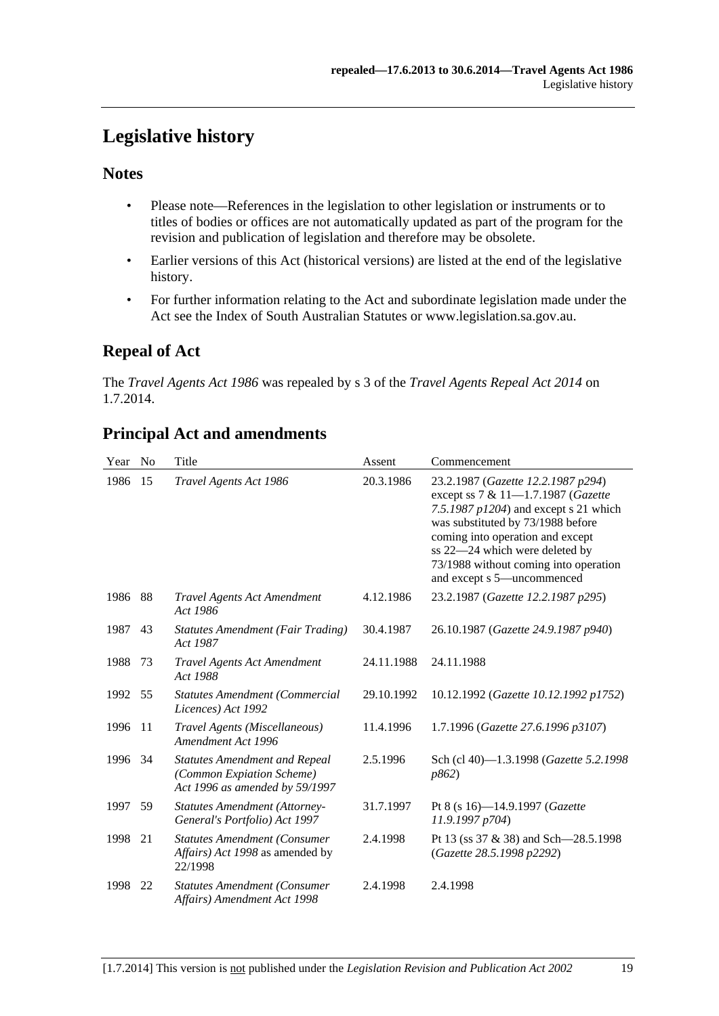# <span id="page-18-0"></span>**Legislative history**

# **Notes**

- Please note—References in the legislation to other legislation or instruments or to titles of bodies or offices are not automatically updated as part of the program for the revision and publication of legislation and therefore may be obsolete.
- Earlier versions of this Act (historical versions) are listed at the end of the legislative history.
- For further information relating to the Act and subordinate legislation made under the Act see the Index of South Australian Statutes or www.legislation.sa.gov.au.

# **Repeal of Act**

The *Travel Agents Act 1986* was repealed by s 3 of the *Travel Agents Repeal Act 2014* on 1.7.2014.

| Year | N <sub>0</sub> | Title                                                                                               | Assent     | Commencement                                                                                                                                                                                                                                                                                        |
|------|----------------|-----------------------------------------------------------------------------------------------------|------------|-----------------------------------------------------------------------------------------------------------------------------------------------------------------------------------------------------------------------------------------------------------------------------------------------------|
| 1986 | 15             | Travel Agents Act 1986                                                                              | 20.3.1986  | 23.2.1987 (Gazette 12.2.1987 p294)<br>except ss 7 & 11-1.7.1987 (Gazette<br>7.5.1987 p1204) and except s 21 which<br>was substituted by 73/1988 before<br>coming into operation and except<br>ss 22-24 which were deleted by<br>73/1988 without coming into operation<br>and except s 5-uncommenced |
| 1986 | 88             | <b>Travel Agents Act Amendment</b><br>Act 1986                                                      | 4.12.1986  | 23.2.1987 (Gazette 12.2.1987 p295)                                                                                                                                                                                                                                                                  |
| 1987 | 43             | <b>Statutes Amendment (Fair Trading)</b><br>Act 1987                                                | 30.4.1987  | 26.10.1987 (Gazette 24.9.1987 p940)                                                                                                                                                                                                                                                                 |
| 1988 | 73             | Travel Agents Act Amendment<br>Act 1988                                                             | 24.11.1988 | 24.11.1988                                                                                                                                                                                                                                                                                          |
| 1992 | 55             | <b>Statutes Amendment (Commercial</b><br>Licences) Act 1992                                         | 29.10.1992 | 10.12.1992 (Gazette 10.12.1992 p1752)                                                                                                                                                                                                                                                               |
| 1996 | -11            | Travel Agents (Miscellaneous)<br>Amendment Act 1996                                                 | 11.4.1996  | 1.7.1996 (Gazette 27.6.1996 p3107)                                                                                                                                                                                                                                                                  |
| 1996 | 34             | <b>Statutes Amendment and Repeal</b><br>(Common Expiation Scheme)<br>Act 1996 as amended by 59/1997 | 2.5.1996   | Sch (cl 40)-1.3.1998 (Gazette 5.2.1998<br>p862)                                                                                                                                                                                                                                                     |
| 1997 | 59             | <b>Statutes Amendment (Attorney-</b><br>General's Portfolio) Act 1997                               | 31.7.1997  | Pt 8 (s 16)-14.9.1997 (Gazette<br>11.9.1997 p704)                                                                                                                                                                                                                                                   |
| 1998 | 21             | <b>Statutes Amendment (Consumer</b><br>Affairs) Act 1998 as amended by<br>22/1998                   | 2.4.1998   | Pt 13 (ss 37 & 38) and Sch-28.5.1998<br>(Gazette 28.5.1998 p2292)                                                                                                                                                                                                                                   |
| 1998 | 22             | <b>Statutes Amendment (Consumer</b><br>Affairs) Amendment Act 1998                                  | 2.4.1998   | 2.4.1998                                                                                                                                                                                                                                                                                            |

# **Principal Act and amendments**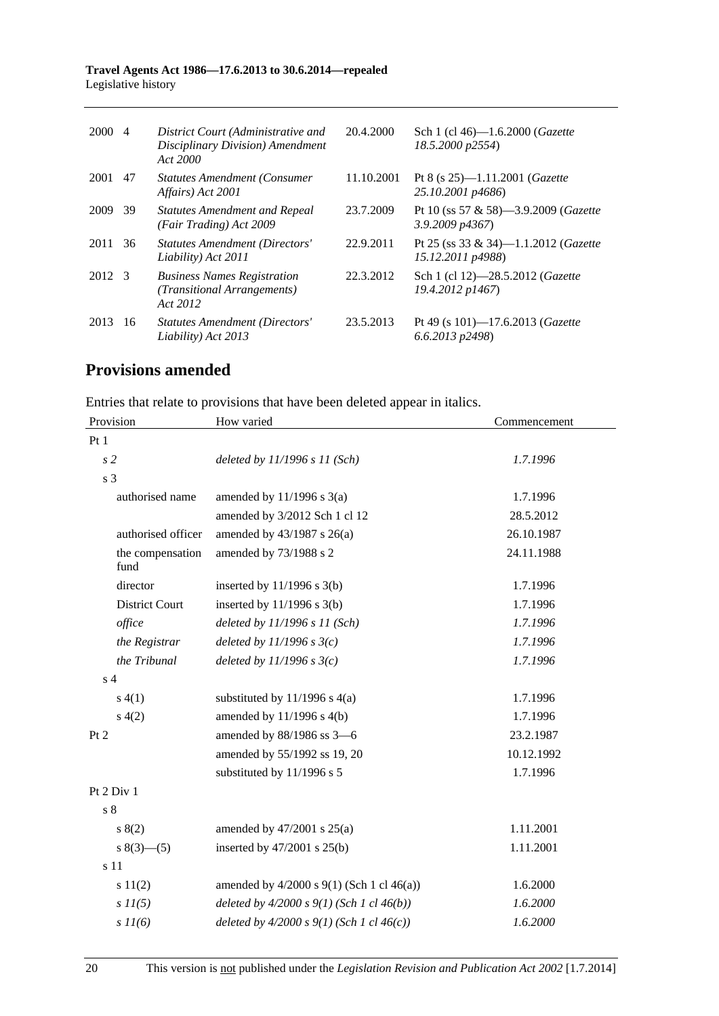#### **Travel Agents Act 1986—17.6.2013 to 30.6.2014—repealed**  Legislative history

| 2000 4 |    | District Court (Administrative and<br>Disciplinary Division) Amendment<br>Act 2000 | 20.4.2000  | Sch 1 (cl 46)-1.6.2000 ( <i>Gazette</i><br>18.5.2000 p2554)        |
|--------|----|------------------------------------------------------------------------------------|------------|--------------------------------------------------------------------|
| 2001   | 47 | <b>Statutes Amendment (Consumer)</b><br>Affairs) Act 2001                          | 11.10.2001 | Pt 8 (s 25)-1.11.2001 (Gazette<br>25.10.2001 p4686)                |
| 2009   | 39 | <b>Statutes Amendment and Repeal</b><br>(Fair Trading) Act 2009                    | 23.7.2009  | Pt 10 (ss 57 & 58)—3.9.2009 ( <i>Gazette</i><br>$3.9.2009$ $p4367$ |
| 2011   | 36 | <b>Statutes Amendment (Directors'</b><br>Liability) Act 2011                       | 22.9.2011  | Pt 25 (ss 33 & 34)—1.1.2012 ( <i>Gazette</i><br>15.12.2011 p4988)  |
| 2012 3 |    | <b>Business Names Registration</b><br>(Transitional Arrangements)<br>Act 2012      | 22.3.2012  | Sch 1 (cl 12)-28.5.2012 (Gazette<br>19.4.2012 p1467)               |
| 2013   | 16 | Statutes Amendment (Directors'<br>Liability) Act 2013                              | 23.5.2013  | Pt 49 (s 101)-17.6.2013 ( <i>Gazette</i><br>$6.6.2013$ $p2498$ )   |

# **Provisions amended**

Entries that relate to provisions that have been deleted appear in italics.

| Provision                | How varied                                       | Commencement |  |  |
|--------------------------|--------------------------------------------------|--------------|--|--|
| Pt1                      |                                                  |              |  |  |
| s <sub>2</sub>           | deleted by $11/1996 s 11 (Sch)$                  | 1.7.1996     |  |  |
| s <sub>3</sub>           |                                                  |              |  |  |
| authorised name          | amended by $11/1996$ s $3(a)$                    | 1.7.1996     |  |  |
|                          | amended by 3/2012 Sch 1 cl 12                    | 28.5.2012    |  |  |
| authorised officer       | amended by 43/1987 s 26(a)                       | 26.10.1987   |  |  |
| the compensation<br>fund | amended by 73/1988 s 2                           | 24.11.1988   |  |  |
| director                 | inserted by $11/1996$ s $3(b)$                   | 1.7.1996     |  |  |
| <b>District Court</b>    | inserted by $11/1996$ s $3(b)$                   | 1.7.1996     |  |  |
| office                   | deleted by $11/1996 s 11 (Sch)$                  | 1.7.1996     |  |  |
| the Registrar            | deleted by $11/1996 s3(c)$                       | 1.7.1996     |  |  |
| the Tribunal             | deleted by $11/1996 s3(c)$                       | 1.7.1996     |  |  |
| s <sub>4</sub>           |                                                  |              |  |  |
| s(4(1))                  | substituted by $11/1996$ s $4(a)$                | 1.7.1996     |  |  |
| s(4(2)                   | amended by 11/1996 s 4(b)                        | 1.7.1996     |  |  |
| Pt 2                     | amended by 88/1986 ss 3-6                        | 23.2.1987    |  |  |
|                          | amended by 55/1992 ss 19, 20                     | 10.12.1992   |  |  |
|                          | substituted by 11/1996 s 5                       | 1.7.1996     |  |  |
| Pt 2 Div 1               |                                                  |              |  |  |
| s <sub>8</sub>           |                                                  |              |  |  |
| s(2)                     | amended by $47/2001$ s $25(a)$                   | 1.11.2001    |  |  |
| $s(3)$ (3) (5)           | inserted by $47/2001$ s $25(b)$                  | 1.11.2001    |  |  |
| s 11                     |                                                  |              |  |  |
| s 11(2)                  | amended by $4/2000$ s $9(1)$ (Sch 1 cl $46(a)$ ) | 1.6.2000     |  |  |
| $s$ $11(5)$              | deleted by $4/2000 s 9(1)$ (Sch 1 cl $46(b)$ )   | 1.6.2000     |  |  |
| $s$ $11(6)$              | deleted by $4/2000 s 9(1)$ (Sch 1 cl $46(c)$ )   | 1.6.2000     |  |  |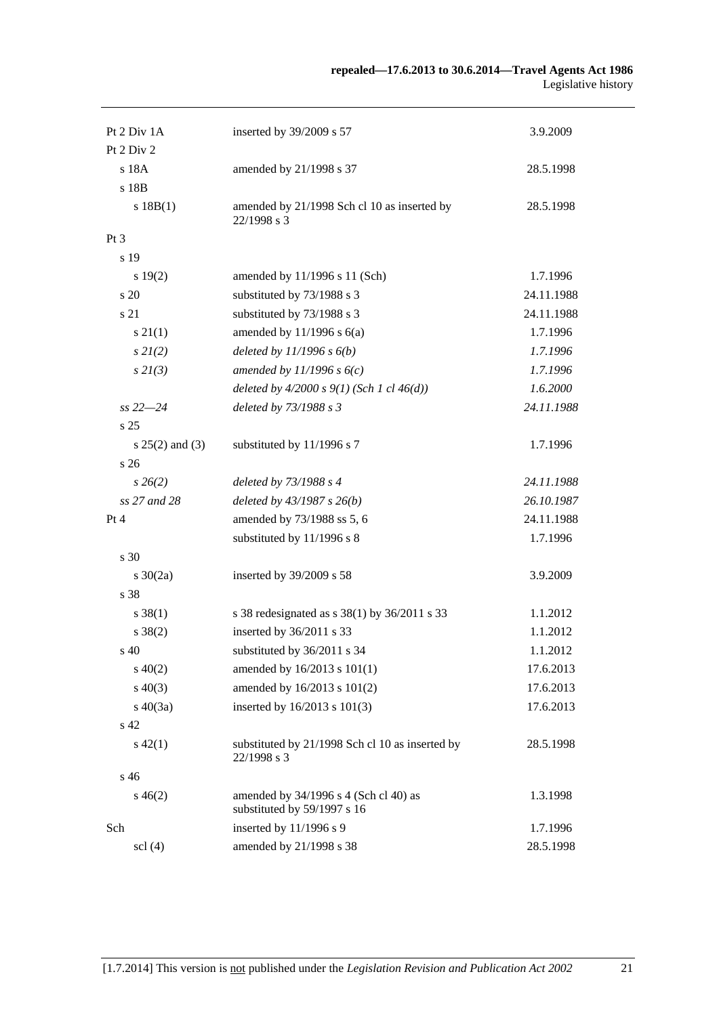#### **repealed—17.6.2013 to 30.6.2014—Travel Agents Act 1986**  Legislative history

| Pt 2 Div 1A                   | inserted by 39/2009 s 57                                             | 3.9.2009   |
|-------------------------------|----------------------------------------------------------------------|------------|
| Pt 2 Div 2                    |                                                                      |            |
| s 18A                         | amended by 21/1998 s 37                                              | 28.5.1998  |
| s 18B                         |                                                                      |            |
| s 18B(1)                      | amended by 21/1998 Sch cl 10 as inserted by<br>22/1998 s 3           | 28.5.1998  |
| Pt <sub>3</sub>               |                                                                      |            |
| s 19                          |                                                                      |            |
| s 19(2)                       | amended by 11/1996 s 11 (Sch)                                        | 1.7.1996   |
| s 20                          | substituted by 73/1988 s 3                                           | 24.11.1988 |
| s 21                          | substituted by 73/1988 s 3                                           | 24.11.1988 |
| $s\ 21(1)$                    | amended by $11/1996$ s $6(a)$                                        | 1.7.1996   |
| $s\,2I(2)$                    | deleted by $11/1996 s 6(b)$                                          | 1.7.1996   |
| $s$ 2 $l(3)$                  | amended by $11/1996 s 6(c)$                                          | 1.7.1996   |
|                               | deleted by $4/2000 s 9(1)$ (Sch 1 cl $46(d)$ )                       | 1.6.2000   |
| $ss 22 - 24$                  | deleted by 73/1988 s 3                                               | 24.11.1988 |
| s 25                          |                                                                      |            |
| $s 25(2)$ and (3)             | substituted by 11/1996 s 7                                           | 1.7.1996   |
| s 26                          |                                                                      |            |
| $s \, 26(2)$                  | deleted by 73/1988 s 4                                               | 24.11.1988 |
| ss 27 and 28                  | deleted by $43/1987 s 26(b)$                                         | 26.10.1987 |
| Pt 4                          | amended by 73/1988 ss 5, 6                                           | 24.11.1988 |
|                               | substituted by 11/1996 s 8                                           | 1.7.1996   |
| s 30                          |                                                                      |            |
| $s \ 30(2a)$                  | inserted by 39/2009 s 58                                             | 3.9.2009   |
| s 38                          |                                                                      |            |
| $s \, 38(1)$                  | s 38 redesignated as $s$ 38(1) by 36/2011 s 33                       | 1.1.2012   |
| $s \, 38(2)$                  | inserted by 36/2011 s 33                                             | 1.1.2012   |
| s 40                          | substituted by 36/2011 s 34                                          | 1.1.2012   |
| $s\ 40(2)$                    | amended by 16/2013 s 101(1)                                          | 17.6.2013  |
| $s\ 40(3)$                    | amended by 16/2013 s 101(2)                                          | 17.6.2013  |
| $s\ 40(3a)$                   | inserted by 16/2013 s 101(3)                                         | 17.6.2013  |
| s 42                          |                                                                      |            |
| $s\,42(1)$                    | substituted by 21/1998 Sch cl 10 as inserted by<br>22/1998 s 3       | 28.5.1998  |
| s 46                          |                                                                      |            |
| $s\,46(2)$                    | amended by 34/1996 s 4 (Sch cl 40) as<br>substituted by 59/1997 s 16 | 1.3.1998   |
| Sch                           | inserted by 11/1996 s 9                                              | 1.7.1996   |
| $\text{ }$ scl $\text{ }$ (4) | amended by 21/1998 s 38                                              | 28.5.1998  |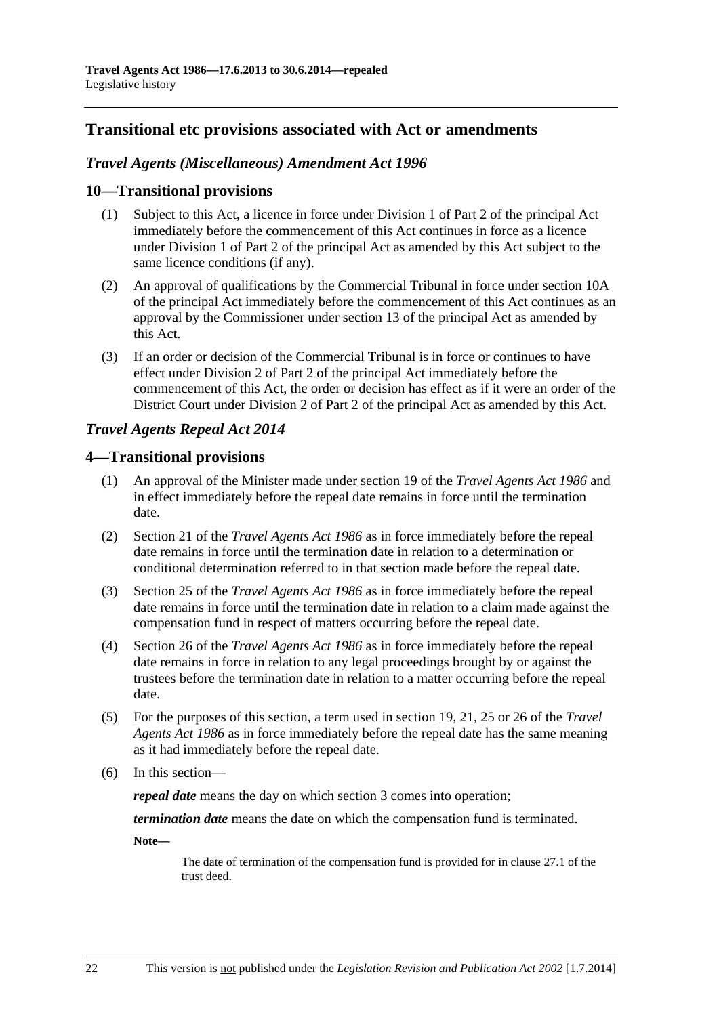# **Transitional etc provisions associated with Act or amendments**

# *Travel Agents (Miscellaneous) Amendment Act 1996*

#### **10—Transitional provisions**

- (1) Subject to this Act, a licence in force under Division 1 of Part 2 of the principal Act immediately before the commencement of this Act continues in force as a licence under Division 1 of Part 2 of the principal Act as amended by this Act subject to the same licence conditions (if any).
- (2) An approval of qualifications by the Commercial Tribunal in force under section 10A of the principal Act immediately before the commencement of this Act continues as an approval by the Commissioner under section 13 of the principal Act as amended by this Act.
- (3) If an order or decision of the Commercial Tribunal is in force or continues to have effect under Division 2 of Part 2 of the principal Act immediately before the commencement of this Act, the order or decision has effect as if it were an order of the District Court under Division 2 of Part 2 of the principal Act as amended by this Act.

### *Travel Agents Repeal Act 2014*

### **4—Transitional provisions**

- (1) An approval of the Minister made under section 19 of the *[Travel Agents Act 1986](http://www.legislation.sa.gov.au/index.aspx?action=legref&type=act&legtitle=Travel%20Agents%20Act%201986)* and in effect immediately before the repeal date remains in force until the termination date.
- (2) Section 21 of the *[Travel Agents Act 1986](http://www.legislation.sa.gov.au/index.aspx?action=legref&type=act&legtitle=Travel%20Agents%20Act%201986)* as in force immediately before the repeal date remains in force until the termination date in relation to a determination or conditional determination referred to in that section made before the repeal date.
- (3) Section 25 of the *[Travel Agents Act 1986](http://www.legislation.sa.gov.au/index.aspx?action=legref&type=act&legtitle=Travel%20Agents%20Act%201986)* as in force immediately before the repeal date remains in force until the termination date in relation to a claim made against the compensation fund in respect of matters occurring before the repeal date.
- (4) Section 26 of the *[Travel Agents Act 1986](http://www.legislation.sa.gov.au/index.aspx?action=legref&type=act&legtitle=Travel%20Agents%20Act%201986)* as in force immediately before the repeal date remains in force in relation to any legal proceedings brought by or against the trustees before the termination date in relation to a matter occurring before the repeal date.
- (5) For the purposes of this section, a term used in section 19, 21, 25 or 26 of the *[Travel](http://www.legislation.sa.gov.au/index.aspx?action=legref&type=act&legtitle=Travel%20Agents%20Act%201986)  [Agents Act 1986](http://www.legislation.sa.gov.au/index.aspx?action=legref&type=act&legtitle=Travel%20Agents%20Act%201986)* as in force immediately before the repeal date has the same meaning as it had immediately before the repeal date.
- (6) In this section—

*repeal date* means the day on which [section 3](#page-0-0) comes into operation;

*termination date* means the date on which the compensation fund is terminated.

**Note—** 

The date of termination of the compensation fund is provided for in clause 27.1 of the trust deed.